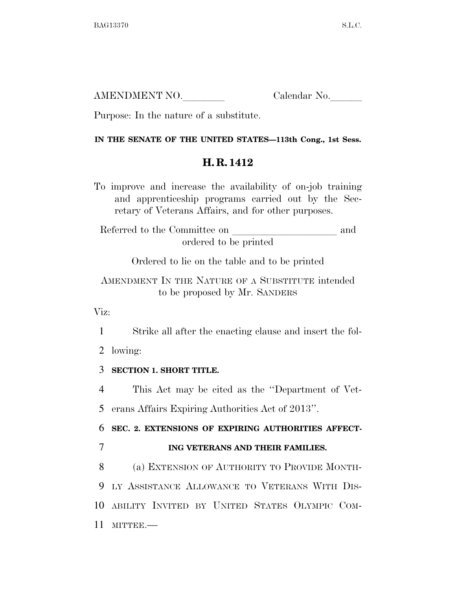| AMENDMENT NO. | Calendar No. |
|---------------|--------------|
|               |              |

Purpose: In the nature of a substitute.

### **IN THE SENATE OF THE UNITED STATES—113th Cong., 1st Sess.**

# **H. R. 1412**

To improve and increase the availability of on-job training and apprenticeship programs carried out by the Secretary of Veterans Affairs, and for other purposes.

Referred to the Committee on  $\hfill$  and ordered to be printed

Ordered to lie on the table and to be printed

AMENDMENT IN THE NATURE OF A SUBSTITUTE intended to be proposed by Mr. SANDERS

Viz:

1 Strike all after the enacting clause and insert the fol-

2 lowing:

## 3 **SECTION 1. SHORT TITLE.**

4 This Act may be cited as the ''Department of Vet-

5 erans Affairs Expiring Authorities Act of 2013''.

6 **SEC. 2. EXTENSIONS OF EXPIRING AUTHORITIES AFFECT-**

7 **ING VETERANS AND THEIR FAMILIES.** 

 (a) EXTENSION OF AUTHORITY TO PROVIDE MONTH- LY ASSISTANCE ALLOWANCE TO VETERANS WITH DIS- ABILITY INVITED BY UNITED STATES OLYMPIC COM-11 MITTEE.—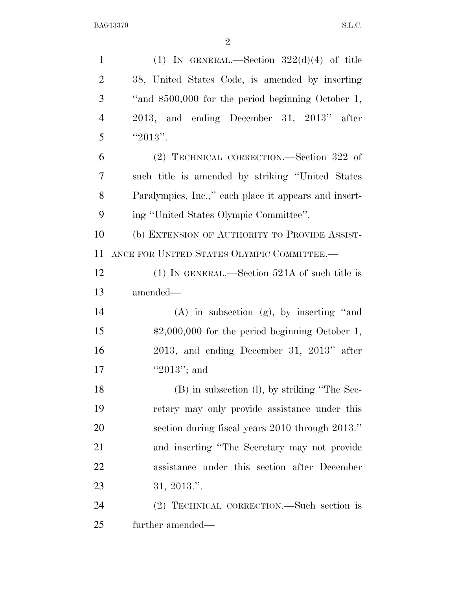| $\mathbf{1}$   | (1) IN GENERAL.—Section $322(d)(4)$ of title          |
|----------------|-------------------------------------------------------|
| $\overline{2}$ | 38, United States Code, is amended by inserting       |
| 3              | "and \$500,000 for the period beginning October 1,    |
| $\overline{4}$ | 2013, and ending December 31, 2013" after             |
| 5              | "2013".                                               |
| 6              | (2) TECHNICAL CORRECTION.—Section 322 of              |
| $\overline{7}$ | such title is amended by striking "United States"     |
| 8              | Paralympics, Inc.," each place it appears and insert- |
| 9              | ing "United States Olympic Committee".                |
| 10             | (b) EXTENSION OF AUTHORITY TO PROVIDE ASSIST-         |
| 11             | ANCE FOR UNITED STATES OLYMPIC COMMITTEE.-            |
| 12             | $(1)$ IN GENERAL.—Section 521A of such title is       |
| 13             | amended-                                              |
| 14             | $(A)$ in subsection $(g)$ , by inserting "and         |
| 15             | $$2,000,000$ for the period beginning October 1,      |
| 16             | $2013$ , and ending December 31, $2013"$ after        |
| 17             | "2013"; and                                           |
| 18             | (B) in subsection (l), by striking "The Sec-          |
| 19             | retary may only provide assistance under this         |
| 20             | section during fiscal years 2010 through 2013."       |
| 21             | and inserting "The Secretary may not provide"         |
| 22             | assistance under this section after December          |
| 23             | 31, 2013."                                            |
| 24             | (2) TECHNICAL CORRECTION.—Such section is             |
| 25             | further amended—                                      |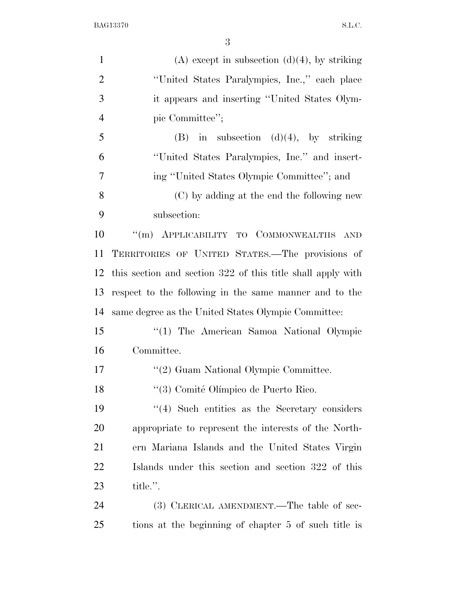| $\mathbf{1}$   | $(A)$ except in subsection $(d)(4)$ , by striking           |
|----------------|-------------------------------------------------------------|
| $\overline{2}$ | "United States Paralympics, Inc.," each place               |
| 3              | it appears and inserting "United States Olym-               |
| $\overline{4}$ | pic Committee";                                             |
| 5              | $(B)$ in subsection $(d)(4)$ , by striking                  |
| 6              | "United States Paralympics, Inc." and insert-               |
| 7              | ing "United States Olympic Committee"; and                  |
| 8              | (C) by adding at the end the following new                  |
| 9              | subsection:                                                 |
| 10             | "(m) APPLICABILITY TO COMMONWEALTHS AND                     |
| 11             | TERRITORIES OF UNITED STATES.-The provisions of             |
| 12             | this section and section 322 of this title shall apply with |
| 13             | respect to the following in the same manner and to the      |
| 14             | same degree as the United States Olympic Committee:         |
| 15             | "(1) The American Samoa National Olympic                    |
| 16             | Committee.                                                  |
| 17             | "(2) Guam National Olympic Committee.                       |
| 18             | "(3) Comité Olímpico de Puerto Rico.                        |
| 19             | $\cdot$ (4) Such entities as the Secretary considers        |
| 20             | appropriate to represent the interests of the North-        |
| 21             | ern Mariana Islands and the United States Virgin            |
| 22             | Islands under this section and section 322 of this          |
| 23             | title.".                                                    |
| 24             | (3) CLERICAL AMENDMENT.—The table of sec-                   |
| 25             | tions at the beginning of chapter 5 of such title is        |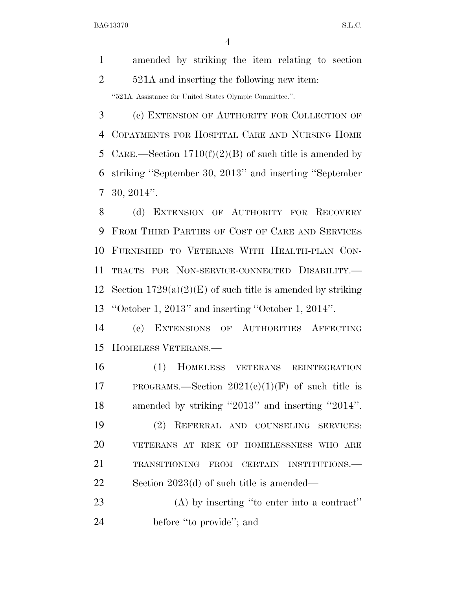amended by striking the item relating to section 2 521A and inserting the following new item: ''521A. Assistance for United States Olympic Committee.''.

 (c) EXTENSION OF AUTHORITY FOR COLLECTION OF COPAYMENTS FOR HOSPITAL CARE AND NURSING HOME 5 CARE.—Section  $1710(f)(2)(B)$  of such title is amended by striking ''September 30, 2013'' and inserting ''September 30, 2014''.

 (d) EXTENSION OF AUTHORITY FOR RECOVERY FROM THIRD PARTIES OF COST OF CARE AND SERVICES FURNISHED TO VETERANS WITH HEALTH-PLAN CON- TRACTS FOR NON-SERVICE-CONNECTED DISABILITY.— 12 Section  $1729(a)(2)(E)$  of such title is amended by striking ''October 1, 2013'' and inserting ''October 1, 2014''.

 (e) EXTENSIONS OF AUTHORITIES AFFECTING HOMELESS VETERANS.—

 (1) HOMELESS VETERANS REINTEGRATION 17 PROGRAMS.—Section  $2021(e)(1)(F)$  of such title is amended by striking ''2013'' and inserting ''2014''. (2) REFERRAL AND COUNSELING SERVICES: VETERANS AT RISK OF HOMELESSNESS WHO ARE TRANSITIONING FROM CERTAIN INSTITUTIONS.— Section 2023(d) of such title is amended—

 (A) by inserting ''to enter into a contract'' 24 before "to provide"; and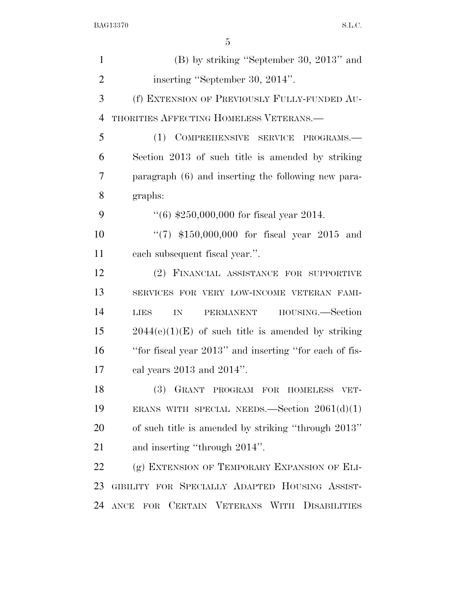| $\mathbf{1}$   | $(B)$ by striking "September 30, 2013" and             |
|----------------|--------------------------------------------------------|
| $\overline{2}$ | inserting "September 30, 2014".                        |
| 3              | (f) EXTENSION OF PREVIOUSLY FULLY-FUNDED AU-           |
| $\overline{4}$ | THORITIES AFFECTING HOMELESS VETERANS.—                |
| 5              | (1) COMPREHENSIVE SERVICE PROGRAMS.-                   |
| 6              | Section 2013 of such title is amended by striking      |
| 7              | paragraph (6) and inserting the following new para-    |
| 8              | graphs:                                                |
| 9              | $(6)$ \$250,000,000 for fiscal year 2014.              |
| 10             | "(7) $$150,000,000$ for fiscal year 2015 and           |
| 11             | each subsequent fiscal year.".                         |
| 12             | (2) FINANCIAL ASSISTANCE FOR SUPPORTIVE                |
| 13             | SERVICES FOR VERY LOW-INCOME VETERAN FAMI-             |
| 14             | PERMANENT HOUSING.—Section<br><b>LIES</b><br>IN        |
| 15             | $2044(e)(1)(E)$ of such title is amended by striking   |
| 16             | "for fiscal year 2013" and inserting "for each of fis- |
| 17             | cal years $2013$ and $2014$ ".                         |
| 18             | (3) GRANT PROGRAM FOR HOMELESS VET-                    |
| 19             | ERANS WITH SPECIAL NEEDS.—Section $2061(d)(1)$         |
| 20             | of such title is amended by striking "through 2013"    |
| 21             | and inserting "through 2014".                          |
| 22             | (g) EXTENSION OF TEMPORARY EXPANSION OF ELI-           |
| 23             | GIBILITY FOR SPECIALLY ADAPTED HOUSING ASSIST-         |
| 24             | ANCE FOR CERTAIN VETERANS WITH DISABILITIES            |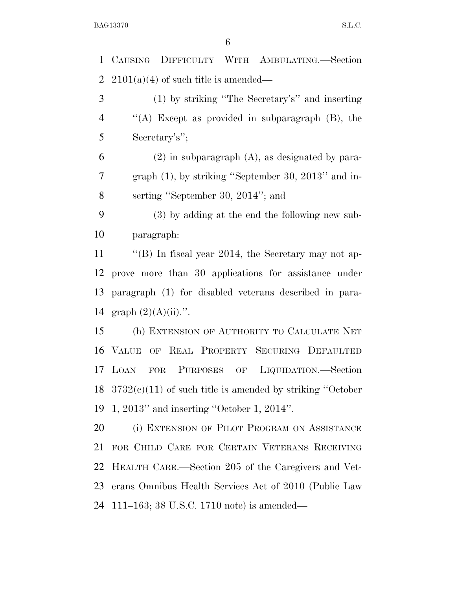CAUSING DIFFICULTY WITH AMBULATING.—Section 2 2101(a)(4) of such title is amended— (1) by striking ''The Secretary's'' and inserting ''(A) Except as provided in subparagraph (B), the Secretary's''; (2) in subparagraph (A), as designated by para- graph (1), by striking ''September 30, 2013'' and in- serting ''September 30, 2014''; and (3) by adding at the end the following new sub- paragraph: ''(B) In fiscal year 2014, the Secretary may not ap- prove more than 30 applications for assistance under paragraph (1) for disabled veterans described in para-14 graph  $(2)(A)(ii)$ .". (h) EXTENSION OF AUTHORITY TO CALCULATE NET VALUE OF REAL PROPERTY SECURING DEFAULTED LOAN FOR PURPOSES OF LIQUIDATION.—Section 3732(c)(11) of such title is amended by striking ''October 1, 2013'' and inserting ''October 1, 2014''. (i) EXTENSION OF PILOT PROGRAM ON ASSISTANCE FOR CHILD CARE FOR CERTAIN VETERANS RECEIVING HEALTH CARE.—Section 205 of the Caregivers and Vet- erans Omnibus Health Services Act of 2010 (Public Law 111–163; 38 U.S.C. 1710 note) is amended—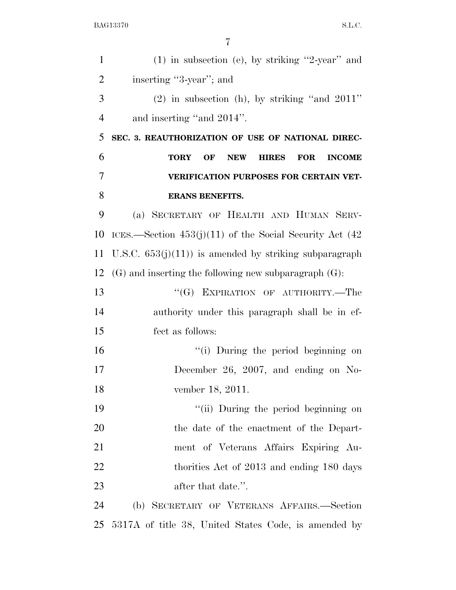| $\mathbf{1}$   | $(1)$ in subsection (e), by striking "2-year" and                              |
|----------------|--------------------------------------------------------------------------------|
| $\overline{2}$ | inserting "3-year"; and                                                        |
| 3              | $(2)$ in subsection (h), by striking "and $2011$ "                             |
| $\overline{4}$ | and inserting "and 2014".                                                      |
| 5              | SEC. 3. REAUTHORIZATION OF USE OF NATIONAL DIREC-                              |
| 6              | OF<br><b>NEW</b><br><b>HIRES</b><br><b>FOR</b><br><b>INCOME</b><br><b>TORY</b> |
| $\overline{7}$ | VERIFICATION PURPOSES FOR CERTAIN VET-                                         |
| 8              | <b>ERANS BENEFITS.</b>                                                         |
| 9              | (a) SECRETARY OF HEALTH AND HUMAN SERV-                                        |
| 10             | ICES.—Section $453(j)(11)$ of the Social Security Act (42)                     |
| 11             | U.S.C. $653(j)(11)$ is amended by striking subparagraph                        |
| 12             | $(G)$ and inserting the following new subparagraph $(G)$ :                     |
| 13             | "(G) EXPIRATION OF AUTHORITY.—The                                              |
| 14             | authority under this paragraph shall be in ef-                                 |
| 15             | fect as follows:                                                               |
| 16             | "(i) During the period beginning on                                            |
| 17             | December 26, 2007, and ending on No-                                           |
| 18             | vember 18, 2011.                                                               |
| 19             | "(ii) During the period beginning on                                           |
| 20             | the date of the enactment of the Depart-                                       |
| 21             | ment of Veterans Affairs Expiring Au-                                          |
| 22             | thorities Act of 2013 and ending 180 days                                      |
| 23             | after that date.".                                                             |
| 24             | (b) SECRETARY OF VETERANS AFFAIRS.-Section                                     |
| 25             | 5317A of title 38, United States Code, is amended by                           |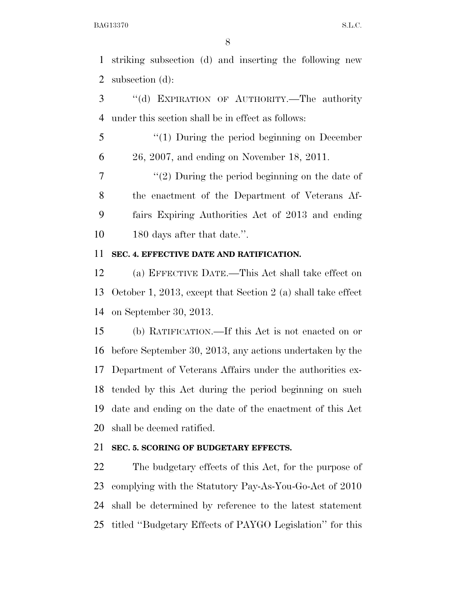striking subsection (d) and inserting the following new subsection (d):

 ''(d) EXPIRATION OF AUTHORITY.—The authority under this section shall be in effect as follows:

 ''(1) During the period beginning on December 26, 2007, and ending on November 18, 2011.

 $\frac{7}{2}$  ''(2) During the period beginning on the date of the enactment of the Department of Veterans Af- fairs Expiring Authorities Act of 2013 and ending 180 days after that date.''.

#### **SEC. 4. EFFECTIVE DATE AND RATIFICATION.**

 (a) EFFECTIVE DATE.—This Act shall take effect on October 1, 2013, except that Section 2 (a) shall take effect on September 30, 2013.

 (b) RATIFICATION.—If this Act is not enacted on or before September 30, 2013, any actions undertaken by the Department of Veterans Affairs under the authorities ex- tended by this Act during the period beginning on such date and ending on the date of the enactment of this Act shall be deemed ratified.

### **SEC. 5. SCORING OF BUDGETARY EFFECTS.**

 The budgetary effects of this Act, for the purpose of complying with the Statutory Pay-As-You-Go-Act of 2010 shall be determined by reference to the latest statement titled ''Budgetary Effects of PAYGO Legislation'' for this